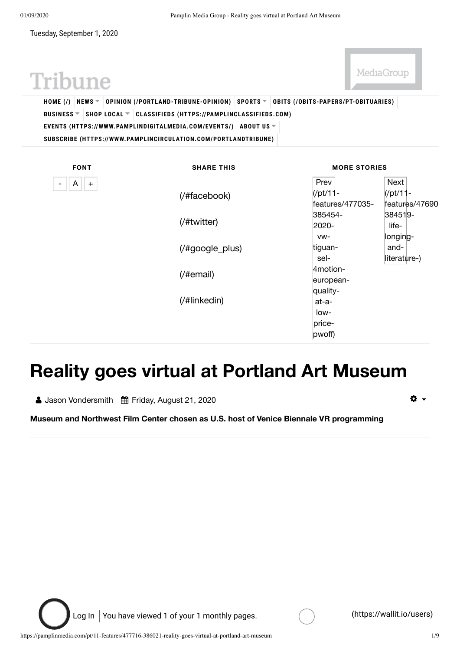01/09/2020 Pamplin Media Group - Reality goes virtual at Portland Art Museum

Tuesday, September 1, 2020

MediaGroup

# Tribune

**HOME (/) NEWS OPINION (/PORTLAND-TRIBUNE-OPINION) SPORTS OBITS (/OBITS-PAPERS/PT-OBITUARIES) BUSINESS SHOP LOCAL CLASSIFIEDS (HTTPS://PAMPLINCLASSIFIEDS.COM) EVENTS (HTTPS://WWW.PAMPLINDIGITALMEDIA.COM/EVENTS/) ABOUT US SUBSCRIBE (HTTPS://WWW.PAMPLINCIRCULATION.COM/PORTLANDTRIBUNE)**

| <b>FONT</b>                                     | <b>SHARE THIS</b>                                                 | <b>MORE STORIES</b>   |                |
|-------------------------------------------------|-------------------------------------------------------------------|-----------------------|----------------|
| $\mathsf{A}$<br>$+$<br>$\overline{\phantom{a}}$ |                                                                   | Prev                  | Next           |
|                                                 | (/#facebook)                                                      | $\frac{1}{2}$ /pt/11- | $ $ (/pt/11-   |
|                                                 |                                                                   | features/477035-      | features/47690 |
|                                                 | (/#twitter)                                                       | 385454-               | 384519-        |
|                                                 |                                                                   | 2020-                 | life-          |
|                                                 |                                                                   | VW-                   | longing-       |
|                                                 | $(\frac{\text{#google}_\text{plus}}{\text{#google}_\text{plus}})$ | tiguan-               | and-           |
|                                                 |                                                                   | sel-                  | literature-)   |
|                                                 | $($ /#email $)$                                                   | Amotion-              |                |
|                                                 |                                                                   | european-             |                |
|                                                 | (/#linkedin)                                                      | quality-              |                |
|                                                 |                                                                   | at-a-                 |                |
|                                                 |                                                                   | low-                  |                |
|                                                 |                                                                   | price-                |                |
|                                                 |                                                                   | pwoff)                |                |

## **Reality goes virtual at Portland Art Museum**

**A** Jason Vondersmith 曲 Friday, August 21, 2020

O -

**Museum and Northwest Film Center chosen as U.S. host of Venice Biennale VR programming**

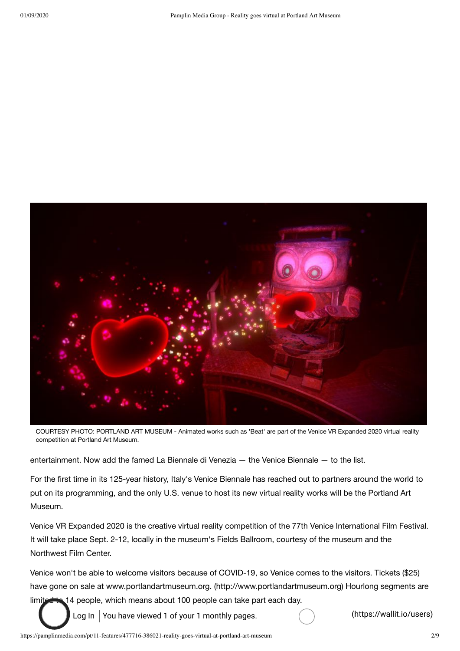

COURTESY PHOTO: PORTLAND ART MUSEUM - Animated works such as 'Beat' are part of the Venice VR Expanded 2020 virtual reality competition at Portland Art Museum.

entertainment. Now add the famed La Biennale di Venezia — the Venice Biennale — to the list.

For the first time in its 125-year history, Italy's Venice Biennale has reached out to partners around the world to put on its programming, and the only U.S. venue to host its new virtual reality works will be the Portland Art Museum.

Venice VR Expanded 2020 is the creative virtual reality competition of the 77th Venice International Film Festival. It will take place Sept. 2-12, locally in the museum's Fields Ballroom, courtesy of the museum and the Northwest Film Center.

Venice won't be able to welcome visitors because of COVID-19, so Venice comes to the visitors. Tickets (\$25) have gone on sale at www.portlandartmuseum.org. (http://www.portlandartmuseum.org) Hourlong segments are limited to 14 people, which means about 100 people can take part each day.

Log In You have viewed 1 of your 1 monthly pages.  $\overline{a}$  (https://wallit.io/users)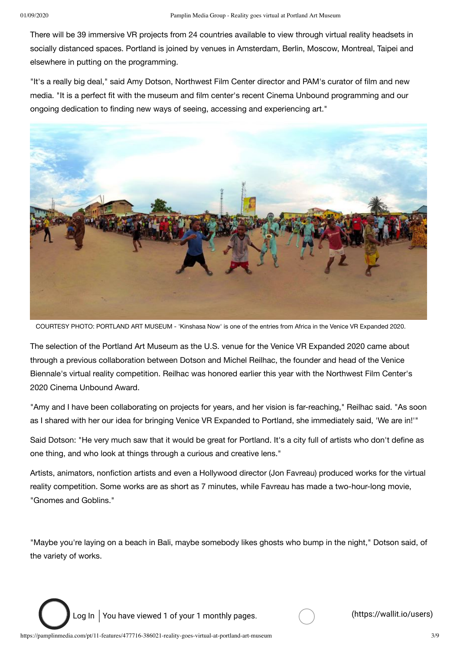There will be 39 immersive VR projects from 24 countries available to view through virtual reality headsets in socially distanced spaces. Portland is joined by venues in Amsterdam, Berlin, Moscow, Montreal, Taipei and elsewhere in putting on the programming.

"It's a really big deal," said Amy Dotson, Northwest Film Center director and PAM's curator of film and new media. "It is a perfect fit with the museum and film center's recent Cinema Unbound programming and our ongoing dedication to finding new ways of seeing, accessing and experiencing art."



COURTESY PHOTO: PORTLAND ART MUSEUM - 'Kinshasa Now' is one of the entries from Africa in the Venice VR Expanded 2020.

The selection of the Portland Art Museum as the U.S. venue for the Venice VR Expanded 2020 came about through a previous collaboration between Dotson and Michel Reilhac, the founder and head of the Venice Biennale's virtual reality competition. Reilhac was honored earlier this year with the Northwest Film Center's 2020 Cinema Unbound Award.

"Amy and I have been collaborating on projects for years, and her vision is far-reaching," Reilhac said. "As soon as I shared with her our idea for bringing Venice VR Expanded to Portland, she immediately said, 'We are in!'"

Said Dotson: "He very much saw that it would be great for Portland. It's a city full of artists who don't define as one thing, and who look at things through a curious and creative lens."

Artists, animators, nonfiction artists and even a Hollywood director (Jon Favreau) produced works for the virtual reality competition. Some works are as short as 7 minutes, while Favreau has made a two-hour-long movie, "Gnomes and Goblins."

"Maybe you're laying on a beach in Bali, maybe somebody likes ghosts who bump in the night," Dotson said, of the variety of works.

Log In You have viewed 1 of your 1 monthly pages.  $\overline{a}$  (https://wallit.io/users)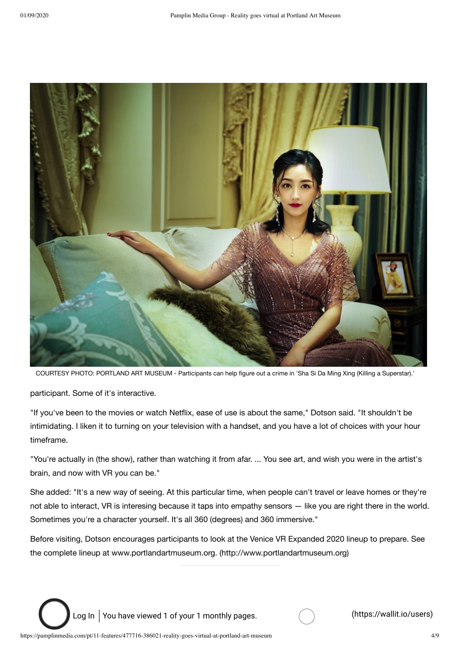

COURTESY PHOTO: PORTLAND ART MUSEUM - Participants can help figure out a crime in 'Sha Si Da Ming Xing (Killing a Superstar).'

participant. Some of it's interactive.

"If you've been to the movies or watch Netflix, ease of use is about the same," Dotson said. "It shouldn't be intimidating. I liken it to turning on your television with a handset, and you have a lot of choices with your hour timeframe.

"You're actually in (the show), rather than watching it from afar. ... You see art, and wish you were in the artist's brain, and now with VR you can be."

She added: "It's a new way of seeing. At this particular time, when people can't travel or leave homes or they're not able to interact, VR is interesing because it taps into empathy sensors — like you are right there in the world. Sometimes you're a character yourself. It's all 360 (degrees) and 360 immersive."

Before visiting, Dotson encourages participants to look at the Venice VR Expanded 2020 lineup to prepare. See the complete lineup at www.portlandartmuseum.org. (http://www.portlandartmuseum.org)

Log In You have viewed 1 of your 1 monthly pages. (example 20) (https://wallit.io/users)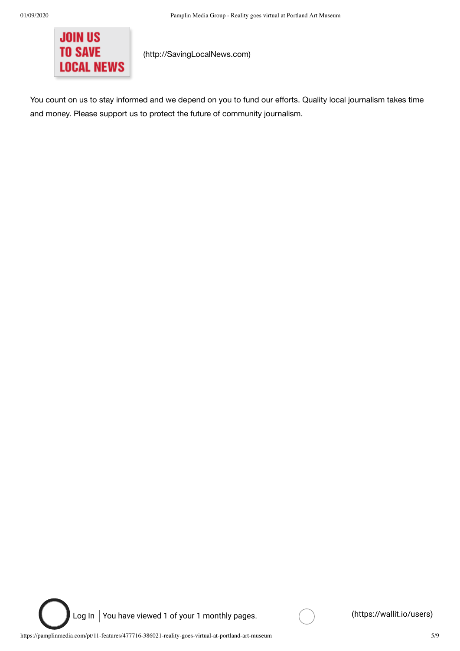

(http://SavingLocalNews.com)

You count on us to stay informed and we depend on you to fund our efforts. Quality local journalism takes time and money. Please support us to protect the future of community journalism.

Log In You have viewed 1 of your 1 monthly pages. (example 20) (https://wallit.io/users)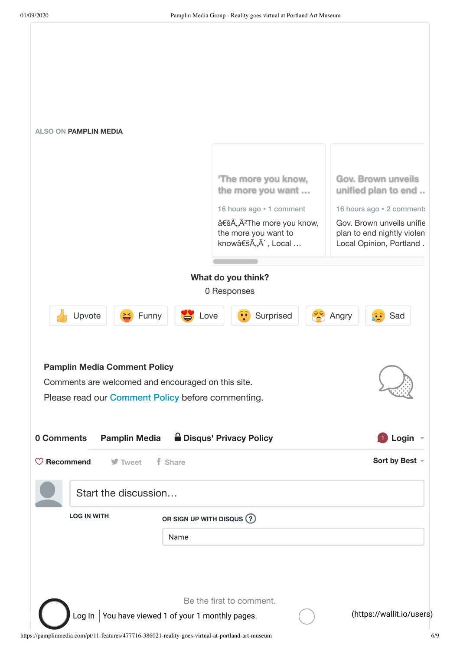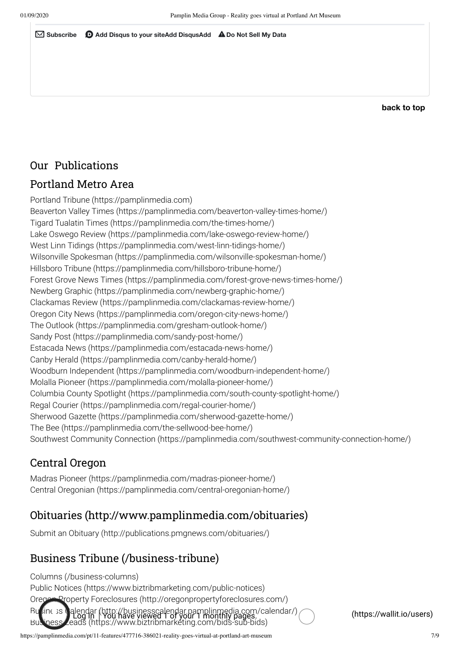✉ **Subscribe** d **Add Disqus to your siteAdd DisqusAdd** ⚠ **Do Not Sell My Data**

**back to top**

#### Our Publications

#### Portland Metro Area

Portland Tribune (https://pamplinmedia.com) Beaverton Valley Times (https://pamplinmedia.com/beaverton-valley-times-home/) Tigard Tualatin Times (https://pamplinmedia.com/the-times-home/) Lake Oswego Review (https://pamplinmedia.com/lake-oswego-review-home/) West Linn Tidings (https://pamplinmedia.com/west-linn-tidings-home/) Wilsonville Spokesman (https://pamplinmedia.com/wilsonville-spokesman-home/) Hillsboro Tribune (https://pamplinmedia.com/hillsboro-tribune-home/) Forest Grove News Times (https://pamplinmedia.com/forest-grove-news-times-home/) Newberg Graphic (https://pamplinmedia.com/newberg-graphic-home/) Clackamas Review (https://pamplinmedia.com/clackamas-review-home/) Oregon City News (https://pamplinmedia.com/oregon-city-news-home/) The Outlook (https://pamplinmedia.com/gresham-outlook-home/) Sandy Post (https://pamplinmedia.com/sandy-post-home/) Estacada News (https://pamplinmedia.com/estacada-news-home/) Canby Herald (https://pamplinmedia.com/canby-herald-home/) Woodburn Independent (https://pamplinmedia.com/woodburn-independent-home/) Molalla Pioneer (https://pamplinmedia.com/molalla-pioneer-home/) Columbia County Spotlight (https://pamplinmedia.com/south-county-spotlight-home/) Regal Courier (https://pamplinmedia.com/regal-courier-home/) Sherwood Gazette (https://pamplinmedia.com/sherwood-gazette-home/) The Bee (https://pamplinmedia.com/the-sellwood-bee-home/) Southwest Community Connection (https://pamplinmedia.com/southwest-community-connection-home/)

#### Central Oregon

Madras Pioneer (https://pamplinmedia.com/madras-pioneer-home/) Central Oregonian (https://pamplinmedia.com/central-oregonian-home/)

#### Obituaries (http://www.pamplinmedia.com/obituaries)

Submit an Obituary (http://publications.pmgnews.com/obituaries/)

#### Business Tribune (/business-tribune)

Columns (/business-columns) Public Notices (https://www.biztribmarketing.com/public-notices) Oregon Property Foreclosures (http://oregonpropertyforeclosures.com/) Business Calendar (http://businesscalendar.pamplinmedia.com/calendar/)<br>Business Leads (https://www.biztribmarketing.com/bids-sub-bids) (https://wallit.io/users)

https://pamplinmedia.com/pt/11-features/477716-386021-reality-goes-virtual-at-portland-art-museum 7/9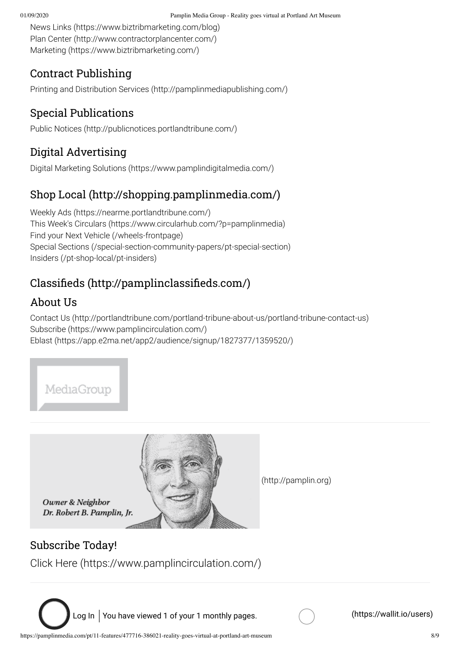01/09/2020 Pamplin Media Group - Reality goes virtual at Portland Art Museum

News Links (https://www.biztribmarketing.com/blog) Plan Center (http://www.contractorplancenter.com/) Marketing (https://www.biztribmarketing.com/)

#### Contract Publishing

Printing and Distribution Services (http://pamplinmediapublishing.com/)

#### Special Publications

Public Notices (http://publicnotices.portlandtribune.com/)

## Digital Advertising

Digital Marketing Solutions (https://www.pamplindigitalmedia.com/)

## Shop Local (http://shopping.pamplinmedia.com/)

Weekly Ads (https://nearme.portlandtribune.com/) This Week's Circulars (https://www.circularhub.com/?p=pamplinmedia) Find your Next Vehicle (/wheels-frontpage) Special Sections (/special-section-community-papers/pt-special-section) Insiders (/pt-shop-local/pt-insiders)

## Classifieds (http://pamplinclassifieds.com/)

## About Us

Contact Us (http://portlandtribune.com/portland-tribune-about-us/portland-tribune-contact-us) Subscribe (https://www.pamplincirculation.com/) Eblast (https://app.e2ma.net/app2/audience/signup/1827377/1359520/)

MediaGroup



Owner & Neighbor Dr. Robert B. Pamplin, Jr. (http://pamplin.org)

#### Subscribe Today!

Click Here (https://www.pamplincirculation.com/)

Log In You have viewed 1 of your 1 monthly pages.  $\overline{a}$  (https://wallit.io/users)